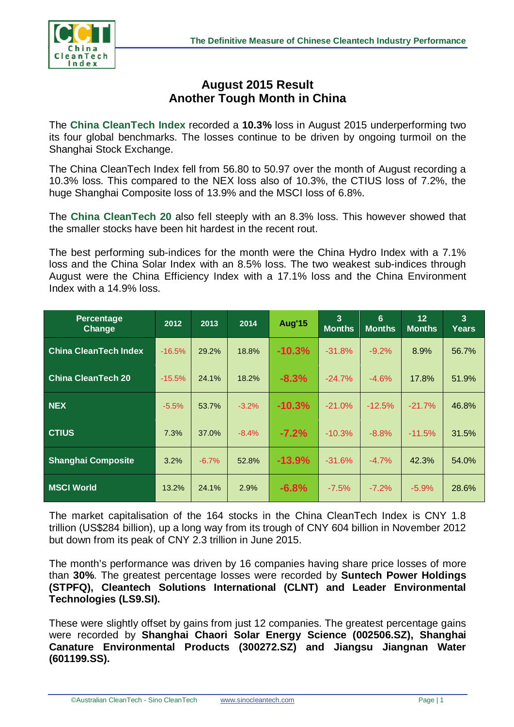

## **August 2015 Result Another Tough Month in China**

The **China CleanTech Index** recorded a **10.3%** loss in August 2015 underperforming two its four global benchmarks. The losses continue to be driven by ongoing turmoil on the Shanghai Stock Exchange.

The China CleanTech Index fell from 56.80 to 50.97 over the month of August recording a 10.3% loss. This compared to the NEX loss also of 10.3%, the CTIUS loss of 7.2%, the huge Shanghai Composite loss of 13.9% and the MSCI loss of 6.8%.

The **China CleanTech 20** also fell steeply with an 8.3% loss. This however showed that the smaller stocks have been hit hardest in the recent rout.

The best performing sub-indices for the month were the China Hydro Index with a 7.1% loss and the China Solar Index with an 8.5% loss. The two weakest sub-indices through August were the China Efficiency Index with a 17.1% loss and the China Environment Index with a 14.9% loss.

| Percentage<br><b>Change</b>  | 2012     | 2013    | 2014    | <b>Aug'15</b> | $\overline{3}$<br><b>Months</b> | 6<br><b>Months</b> | 12<br><b>Months</b> | $\overline{3}$<br><b>Years</b> |
|------------------------------|----------|---------|---------|---------------|---------------------------------|--------------------|---------------------|--------------------------------|
| <b>China CleanTech Index</b> | $-16.5%$ | 29.2%   | 18.8%   | $-10.3%$      | $-31.8%$                        | $-9.2%$            | 8.9%                | 56.7%                          |
| <b>China CleanTech 20</b>    | $-15.5%$ | 24.1%   | 18.2%   | $-8.3%$       | $-24.7%$                        | $-4.6%$            | 17.8%               | 51.9%                          |
| <b>NEX</b>                   | $-5.5%$  | 53.7%   | $-3.2%$ | $-10.3%$      | $-21.0%$                        | $-12.5%$           | $-21.7%$            | 46.8%                          |
| <b>CTIUS</b>                 | 7.3%     | 37.0%   | $-8.4%$ | $-7.2%$       | $-10.3%$                        | $-8.8%$            | $-11.5%$            | 31.5%                          |
| <b>Shanghai Composite</b>    | 3.2%     | $-6.7%$ | 52.8%   | $-13.9%$      | $-31.6%$                        | $-4.7%$            | 42.3%               | 54.0%                          |
| <b>MSCI World</b>            | 13.2%    | 24.1%   | 2.9%    | $-6.8%$       | $-7.5%$                         | $-7.2%$            | $-5.9%$             | 28.6%                          |

The market capitalisation of the 164 stocks in the China CleanTech Index is CNY 1.8 trillion (US\$284 billion), up a long way from its trough of CNY 604 billion in November 2012 but down from its peak of CNY 2.3 trillion in June 2015.

The month's performance was driven by 16 companies having share price losses of more than **30%**. The greatest percentage losses were recorded by **Suntech Power Holdings (STPFQ), Cleantech Solutions International (CLNT) and Leader Environmental Technologies (LS9.SI).**

These were slightly offset by gains from just 12 companies. The greatest percentage gains were recorded by **Shanghai Chaori Solar Energy Science (002506.SZ), Shanghai Canature Environmental Products (300272.SZ) and Jiangsu Jiangnan Water (601199.SS).**